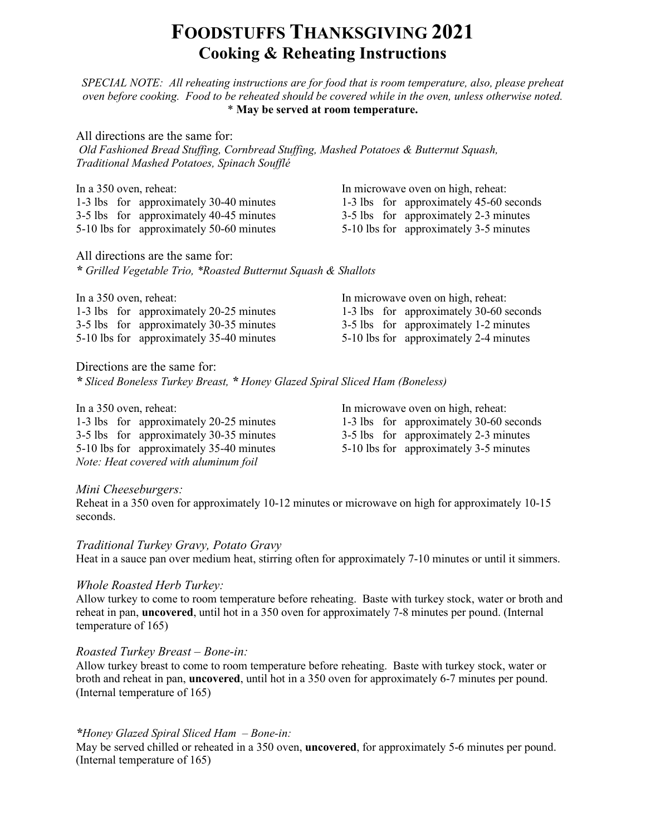## **FOODSTUFFS THANKSGIVING 2021 Cooking & Reheating Instructions**

*SPECIAL NOTE: All reheating instructions are for food that is room temperature, also, please preheat oven before cooking. Food to be reheated should be covered while in the oven, unless otherwise noted.* \* **May be served at room temperature.**

All directions are the same for: *Old Fashioned Bread Stuffing, Cornbread Stuffing, Mashed Potatoes & Butternut Squash, Traditional Mashed Potatoes, Spinach Soufflé*

3-5 lbs for approximately 40-45 minutes 3-5 lbs for approximately 2-3 minutes 5-10 lbs for approximately 50-60 minutes 5-10 lbs for approximately 3-5 minutes

In a 350 oven, reheat: In microwave oven on high, reheat: 1-3 lbs for approximately 30-40 minutes 1-3 lbs for approximately 45-60 seconds

All directions are the same for: *\* Grilled Vegetable Trio, \*Roasted Butternut Squash & Shallots*

| In a 350 oven, reheat: |                                          |  | In microwave oven on high, reheat:      |
|------------------------|------------------------------------------|--|-----------------------------------------|
|                        | 1-3 lbs for approximately 20-25 minutes  |  | 1-3 lbs for approximately 30-60 seconds |
|                        | 3-5 lbs for approximately 30-35 minutes  |  | 3-5 lbs for approximately 1-2 minutes   |
|                        | 5-10 lbs for approximately 35-40 minutes |  | 5-10 lbs for approximately 2-4 minutes  |

Directions are the same for:

*\* Sliced Boneless Turkey Breast, \* Honey Glazed Spiral Sliced Ham (Boneless)*

| In a 350 oven, reheat:                   | In microwave oven on high, reheat:      |  |  |
|------------------------------------------|-----------------------------------------|--|--|
| 1-3 lbs for approximately 20-25 minutes  | 1-3 lbs for approximately 30-60 seconds |  |  |
| 3-5 lbs for approximately 30-35 minutes  | 3-5 lbs for approximately 2-3 minutes   |  |  |
| 5-10 lbs for approximately 35-40 minutes | 5-10 lbs for approximately 3-5 minutes  |  |  |
| Note: Heat covered with aluminum foil    |                                         |  |  |

#### *Mini Cheeseburgers:*

Reheat in a 350 oven for approximately 10-12 minutes or microwave on high for approximately 10-15 seconds.

*Traditional Turkey Gravy, Potato Gravy*

Heat in a sauce pan over medium heat, stirring often for approximately 7-10 minutes or until it simmers.

#### *Whole Roasted Herb Turkey:*

Allow turkey to come to room temperature before reheating. Baste with turkey stock, water or broth and reheat in pan, **uncovered**, until hot in a 350 oven for approximately 7-8 minutes per pound. (Internal temperature of 165)

#### *Roasted Turkey Breast – Bone-in:*

Allow turkey breast to come to room temperature before reheating. Baste with turkey stock, water or broth and reheat in pan, **uncovered**, until hot in a 350 oven for approximately 6-7 minutes per pound. (Internal temperature of 165)

#### *\*Honey Glazed Spiral Sliced Ham – Bone-in:*

May be served chilled or reheated in a 350 oven, **uncovered**, for approximately 5-6 minutes per pound. (Internal temperature of 165)